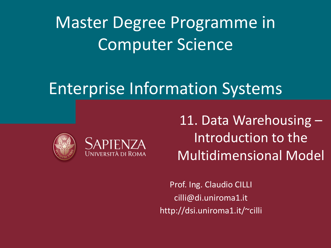Master Degree Programme in Computer Science

### Enterprise Information Systems





11. Data Warehousing – Introduction to the Multidimensional Model

Prof. Ing. Claudio CILLI cilli@di.uniroma1.it http://dsi.uniroma1.it/~cilli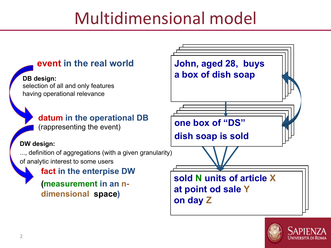## Multidimensional model



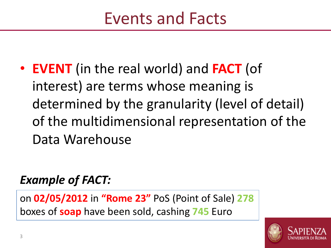• **EVENT** (in the real world) and **FACT** (of interest) are terms whose meaning is determined by the granularity (level of detail) of the multidimensional representation of the Data Warehouse

#### *Example of FACT:*

on **02/05/2012** in **"Rome 23"** PoS (Point of Sale) **278** boxes of **soap** have been sold, cashing **745** Euro

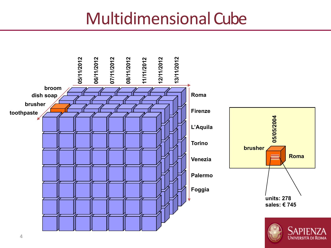### Multidimensional Cube



Università di Roma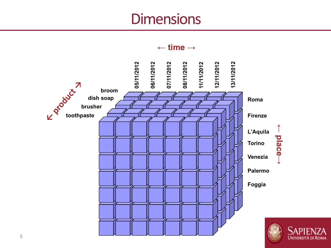### **Dimensions**

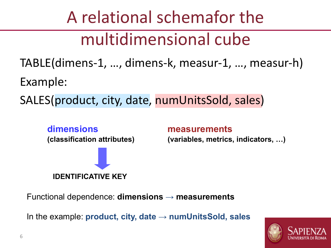# A relational schemafor the multidimensional cube

TABLE(dimens-1, …, dimens-k, measur-1, …, measur-h) Example:

SALES(product, city, date, numUnitsSold, sales)



**measurements (variables, metrics, indicators, …)**

Functional dependence: **dimensions → measurements**

In the example: **product, city, date → numUnitsSold, sales**

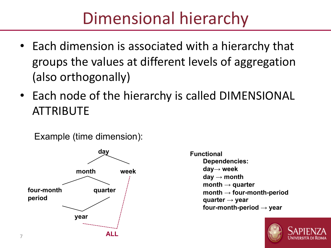## Dimensional hierarchy

- Each dimension is associated with a hierarchy that groups the values at different levels of aggregation (also orthogonally)
- Each node of the hierarchy is called DIMENSIONAL ATTRIBUTE

Example (time dimension):



**Functional Dependencies: day→ week day → month month → quarter month → four-month-period quarter → year four-month-period → year**

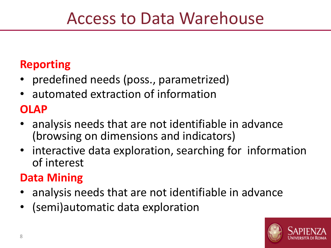### Access to Data Warehouse

#### **Reporting**

- predefined needs (poss., parametrized)
- automated extraction of information

#### **OLAP**

- analysis needs that are not identifiable in advance (browsing on dimensions and indicators)
- interactive data exploration, searching for information of interest

#### **Data Mining**

- analysis needs that are not identifiable in advance
- (semi)automatic data exploration

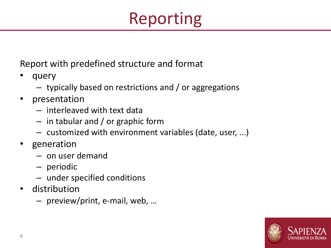# Reporting

Report with predefined structure and format

- query
	- typically based on restrictions and / or aggregations
- presentation
	- interleaved with text data
	- in tabular and / or graphic form
	- customized with environment variables (date, user, ...)
- generation
	- on user demand
	- periodic
	- under specified conditions
- distribution
	- preview/print, e-mail, web, …

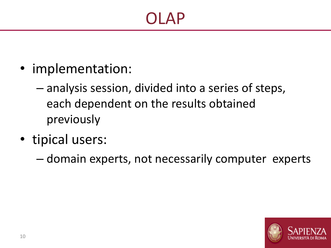- implementation:
	- analysis session, divided into a series of steps, each dependent on the results obtained previously
- tipical users:
	- domain experts, not necessarily computer experts

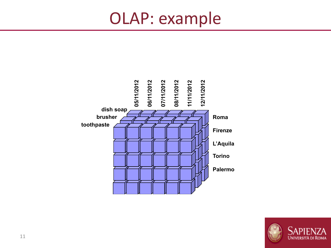### OLAP: example



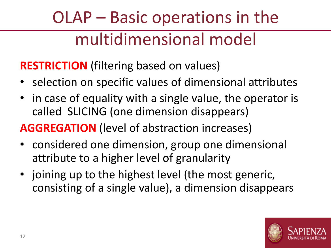# OLAP – Basic operations in the multidimensional model

**RESTRICTION** (filtering based on values)

- selection on specific values of dimensional attributes
- in case of equality with a single value, the operator is called SLICING (one dimension disappears)

#### **AGGREGATION** (level of abstraction increases)

- considered one dimension, group one dimensional attribute to a higher level of granularity
- joining up to the highest level (the most generic, consisting of a single value), a dimension disappears

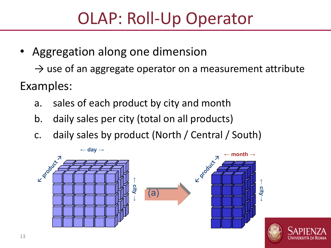## OLAP: Roll-Up Operator

• Aggregation along one dimension

 $\rightarrow$  use of an aggregate operator on a measurement attribute Examples:

- a. sales of each product by city and month
- b. daily sales per city (total on all products)
- c. daily sales by product (North / Central / South)



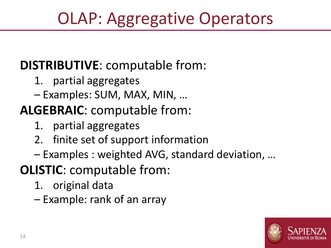# OLAP: Aggregative Operators

### **DISTRIBUTIVE**: computable from:

- 1. partial aggregates
- Examples: SUM, MAX, MIN, …

### **ALGEBRAIC**: computable from:

- 1. partial aggregates
- 2. finite set of support information
- Examples : weighted AVG, standard deviation, …
- **OLISTIC**: computable from:
	- 1. original data
	- Example: rank of an array

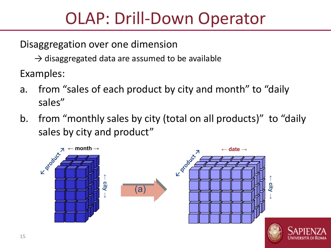## OLAP: Drill-Down Operator

Disaggregation over one dimension

 $\rightarrow$  disaggregated data are assumed to be available

Examples:

- a. from "sales of each product by city and month" to "daily sales"
- b. from "monthly sales by city (total on all products)" to "daily sales by city and product"

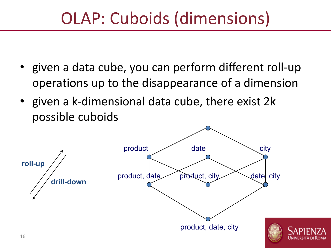## OLAP: Cuboids (dimensions)

- given a data cube, you can perform different roll-up operations up to the disappearance of a dimension
- given a k-dimensional data cube, there exist 2k possible cuboids

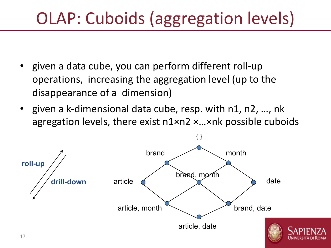# OLAP: Cuboids (aggregation levels)

- given a data cube, you can perform different roll-up operations, increasing the aggregation level (up to the disappearance of a dimension)
- given a k-dimensional data cube, resp. with n1, n2, …, nk agregation levels, there exist n1×n2 ×…×nk possible cuboids

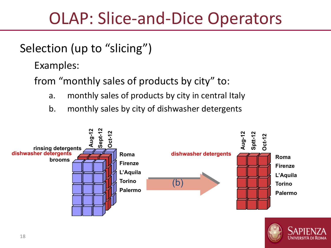### OLAP: Slice-and-Dice Operators

#### Selection (up to "slicing")

Examples:

from "monthly sales of products by city" to:

- a. monthly sales of products by city in central Italy
- b. monthly sales by city of dishwasher detergents



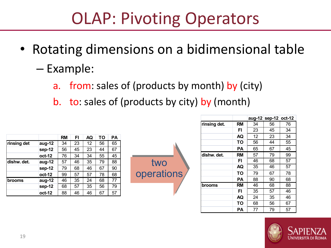## OLAP: Pivoting Operators

- Rotating dimensions on a bidimensional table
	- Example:
		- a. from: sales of (products by month) by (city)

two

operations

b. to: sales of (products by city) by (month)

|             |        | <b>RM</b> | FI | AQ | TO | PA |
|-------------|--------|-----------|----|----|----|----|
| rinsing det | aug-12 | 34        | 23 | 12 | 56 | 65 |
|             | sep-12 | 56        | 45 | 23 | 44 | 67 |
|             | oct-12 | 76        | 34 | 34 | 55 | 45 |
| dishw. det. | aug-12 | 57        | 46 | 35 | 79 | 88 |
|             | sep-12 | 79        | 68 | 46 | 67 | 90 |
|             | oct-12 | 99        | 57 | 57 | 78 | 68 |
| brooms      | aug-12 | 46        | 35 | 24 | 68 | 77 |
|             | sep-12 | 68        | 57 | 35 | 56 | 79 |
|             | oct-12 | 88        | 46 | 46 | 67 | 57 |



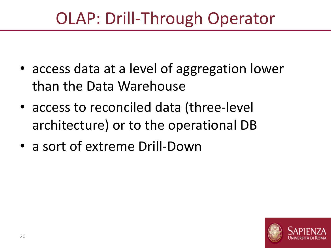## OLAP: Drill-Through Operator

- access data at a level of aggregation lower than the Data Warehouse
- access to reconciled data (three-level architecture) or to the operational DB
- a sort of extreme Drill-Down

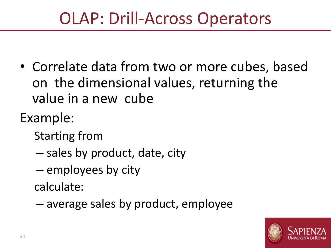## OLAP: Drill-Across Operators

- Correlate data from two or more cubes, based on the dimensional values, returning the value in a new cube
- Example:
	- Starting from
	- sales by product, date, city
	- employees by city

calculate:

– average sales by product, employee